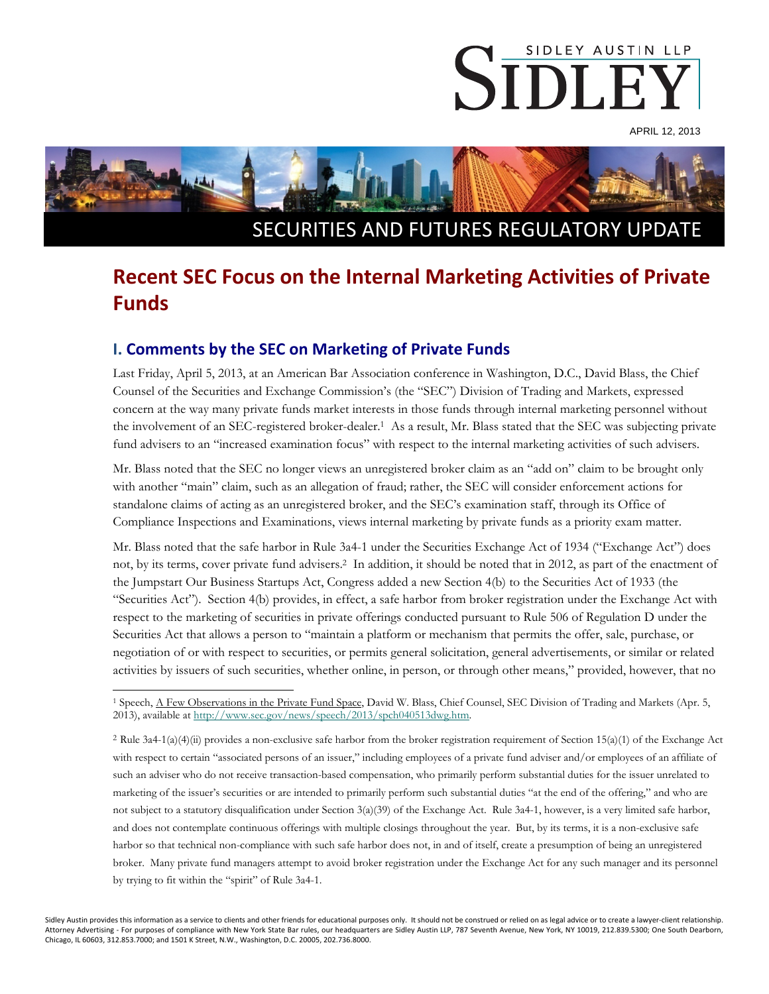

APRIL 12, 2013



# **Recent SEC Focus on the Internal Marketing Activities of Private Funds**

### **I. Comments by the SEC on Marketing of Private Funds**

Last Friday, April 5, 2013, at an American Bar Association conference in Washington, D.C., David Blass, the Chief Counsel of the Securities and Exchange Commission's (the "SEC") Division of Trading and Markets, expressed concern at the way many private funds market interests in those funds through internal marketing personnel without the involvement of an SEC-registered broker-dealer.<sup>1</sup> As a result, Mr. Blass stated that the SEC was subjecting private fund advisers to an "increased examination focus" with respect to the internal marketing activities of such advisers.

Mr. Blass noted that the SEC no longer views an unregistered broker claim as an "add on" claim to be brought only with another "main" claim, such as an allegation of fraud; rather, the SEC will consider enforcement actions for standalone claims of acting as an unregistered broker, and the SEC's examination staff, through its Office of Compliance Inspections and Examinations, views internal marketing by private funds as a priority exam matter.

Mr. Blass noted that the safe harbor in Rule 3a4-1 under the Securities Exchange Act of 1934 ("Exchange Act") does not, by its terms, cover private fund advisers.2 In addition, it should be noted that in 2012, as part of the enactment of the Jumpstart Our Business Startups Act, Congress added a new Section 4(b) to the Securities Act of 1933 (the "Securities Act"). Section 4(b) provides, in effect, a safe harbor from broker registration under the Exchange Act with respect to the marketing of securities in private offerings conducted pursuant to Rule 506 of Regulation D under the Securities Act that allows a person to "maintain a platform or mechanism that permits the offer, sale, purchase, or negotiation of or with respect to securities, or permits general solicitation, general advertisements, or similar or related activities by issuers of such securities, whether online, in person, or through other means," provided, however, that no

<sup>2</sup> Rule 3a4-1(a)(4)(ii) provides a non-exclusive safe harbor from the broker registration requirement of Section 15(a)(1) of the Exchange Act with respect to certain "associated persons of an issuer," including employees of a private fund adviser and/or employees of an affiliate of such an adviser who do not receive transaction-based compensation, who primarily perform substantial duties for the issuer unrelated to marketing of the issuer's securities or are intended to primarily perform such substantial duties "at the end of the offering," and who are not subject to a statutory disqualification under Section 3(a)(39) of the Exchange Act. Rule 3a4-1, however, is a very limited safe harbor, and does not contemplate continuous offerings with multiple closings throughout the year. But, by its terms, it is a non-exclusive safe harbor so that technical non-compliance with such safe harbor does not, in and of itself, create a presumption of being an unregistered broker. Many private fund managers attempt to avoid broker registration under the Exchange Act for any such manager and its personnel by trying to fit within the "spirit" of Rule 3a4-1.

Sidley Austin provides this information as a service to clients and other friends for educational purposes only. It should not be construed or relied on as legal advice or to create a lawyer-client relationship. Attorney Advertising - For purposes of compliance with New York State Bar rules, our headquarters are Sidley Austin LLP, 787 Seventh Avenue, New York, NY 10019, 212.839.5300; One South Dearborn, Chicago, IL 60603, 312.853.7000; and 1501 K Street, N.W., Washington, D.C. 20005, 202.736.8000.

 $\overline{a}$ 1 Speech, A Few Observations in the Private Fund Space, David W. Blass, Chief Counsel, SEC Division of Trading and Markets (Apr. 5, 2013), available at http://www.sec.gov/news/speech/2013/spch040513dwg.htm.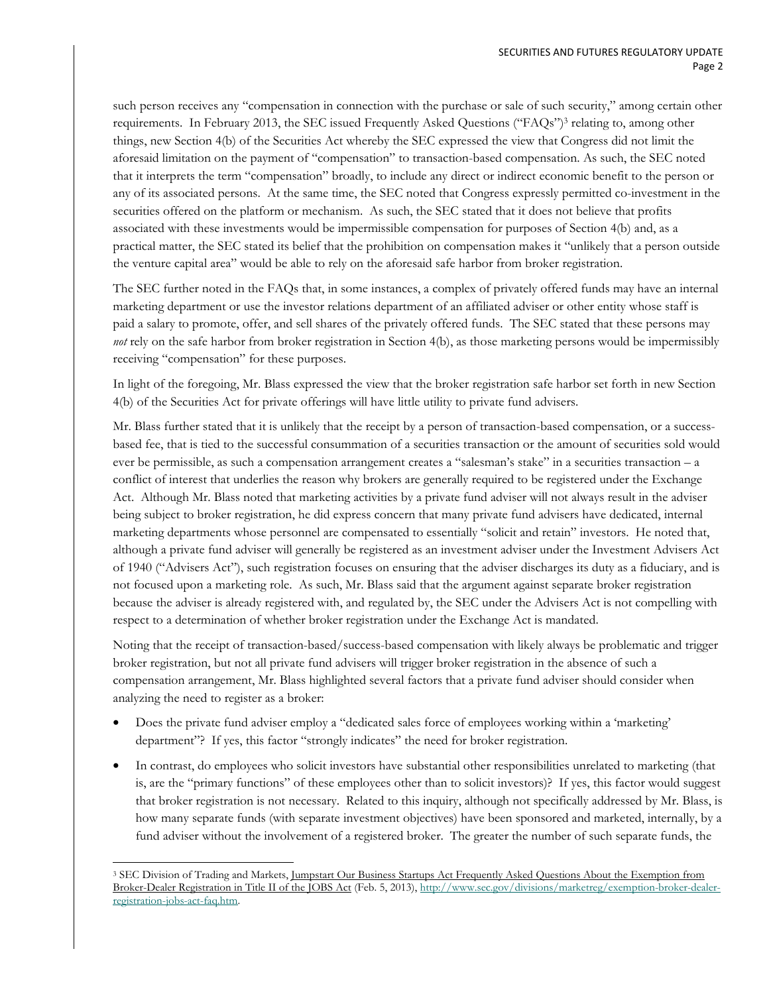such person receives any "compensation in connection with the purchase or sale of such security," among certain other requirements. In February 2013, the SEC issued Frequently Asked Questions ("FAQs")3 relating to, among other things, new Section 4(b) of the Securities Act whereby the SEC expressed the view that Congress did not limit the aforesaid limitation on the payment of "compensation" to transaction-based compensation. As such, the SEC noted that it interprets the term "compensation" broadly, to include any direct or indirect economic benefit to the person or any of its associated persons. At the same time, the SEC noted that Congress expressly permitted co-investment in the securities offered on the platform or mechanism. As such, the SEC stated that it does not believe that profits associated with these investments would be impermissible compensation for purposes of Section 4(b) and, as a practical matter, the SEC stated its belief that the prohibition on compensation makes it "unlikely that a person outside the venture capital area" would be able to rely on the aforesaid safe harbor from broker registration.

The SEC further noted in the FAQs that, in some instances, a complex of privately offered funds may have an internal marketing department or use the investor relations department of an affiliated adviser or other entity whose staff is paid a salary to promote, offer, and sell shares of the privately offered funds. The SEC stated that these persons may *not* rely on the safe harbor from broker registration in Section 4(b), as those marketing persons would be impermissibly receiving "compensation" for these purposes.

In light of the foregoing, Mr. Blass expressed the view that the broker registration safe harbor set forth in new Section 4(b) of the Securities Act for private offerings will have little utility to private fund advisers.

Mr. Blass further stated that it is unlikely that the receipt by a person of transaction-based compensation, or a successbased fee, that is tied to the successful consummation of a securities transaction or the amount of securities sold would ever be permissible, as such a compensation arrangement creates a "salesman's stake" in a securities transaction – a conflict of interest that underlies the reason why brokers are generally required to be registered under the Exchange Act. Although Mr. Blass noted that marketing activities by a private fund adviser will not always result in the adviser being subject to broker registration, he did express concern that many private fund advisers have dedicated, internal marketing departments whose personnel are compensated to essentially "solicit and retain" investors. He noted that, although a private fund adviser will generally be registered as an investment adviser under the Investment Advisers Act of 1940 ("Advisers Act"), such registration focuses on ensuring that the adviser discharges its duty as a fiduciary, and is not focused upon a marketing role. As such, Mr. Blass said that the argument against separate broker registration because the adviser is already registered with, and regulated by, the SEC under the Advisers Act is not compelling with respect to a determination of whether broker registration under the Exchange Act is mandated.

Noting that the receipt of transaction-based/success-based compensation with likely always be problematic and trigger broker registration, but not all private fund advisers will trigger broker registration in the absence of such a compensation arrangement, Mr. Blass highlighted several factors that a private fund adviser should consider when analyzing the need to register as a broker:

- Does the private fund adviser employ a "dedicated sales force of employees working within a 'marketing' department"? If yes, this factor "strongly indicates" the need for broker registration.
- In contrast, do employees who solicit investors have substantial other responsibilities unrelated to marketing (that is, are the "primary functions" of these employees other than to solicit investors)? If yes, this factor would suggest that broker registration is not necessary. Related to this inquiry, although not specifically addressed by Mr. Blass, is how many separate funds (with separate investment objectives) have been sponsored and marketed, internally, by a fund adviser without the involvement of a registered broker. The greater the number of such separate funds, the

 $\overline{a}$ <sup>3</sup> SEC Division of Trading and Markets, Jumpstart Our Business Startups Act Frequently Asked Questions About the Exemption from Broker-Dealer Registration in Title II of the JOBS Act (Feb. 5, 2013), http://www.sec.gov/divisions/marketreg/exemption-broker-dealerregistration-jobs-act-faq.htm.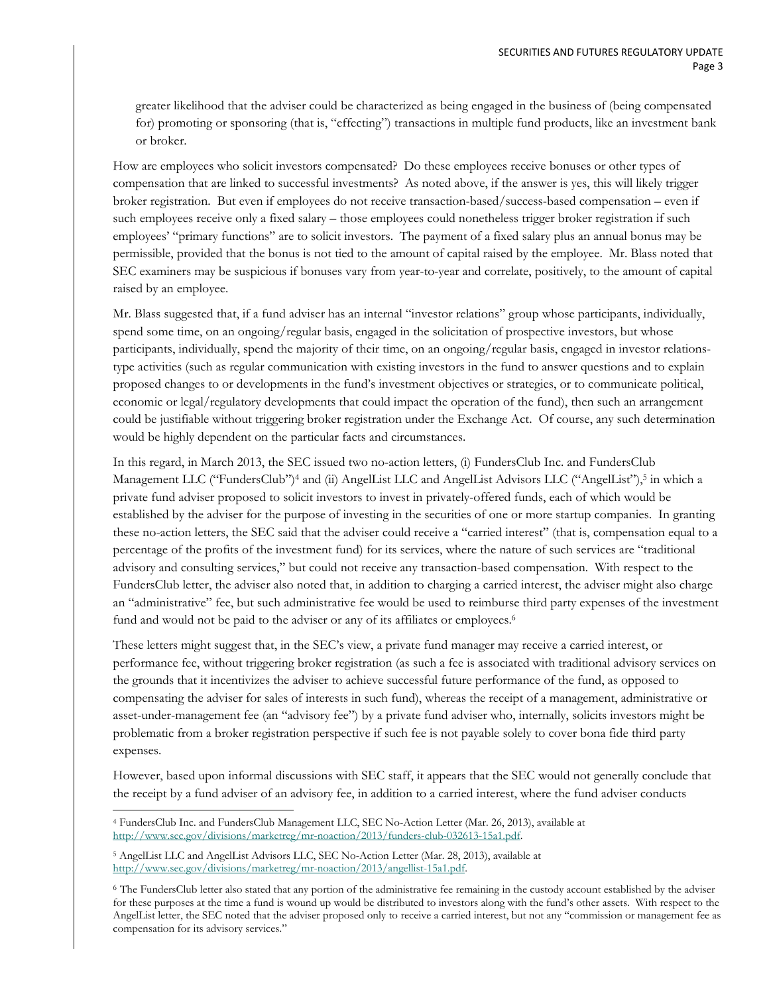greater likelihood that the adviser could be characterized as being engaged in the business of (being compensated for) promoting or sponsoring (that is, "effecting") transactions in multiple fund products, like an investment bank or broker.

How are employees who solicit investors compensated? Do these employees receive bonuses or other types of compensation that are linked to successful investments? As noted above, if the answer is yes, this will likely trigger broker registration. But even if employees do not receive transaction-based/success-based compensation – even if such employees receive only a fixed salary – those employees could nonetheless trigger broker registration if such employees' "primary functions" are to solicit investors. The payment of a fixed salary plus an annual bonus may be permissible, provided that the bonus is not tied to the amount of capital raised by the employee. Mr. Blass noted that SEC examiners may be suspicious if bonuses vary from year-to-year and correlate, positively, to the amount of capital raised by an employee.

Mr. Blass suggested that, if a fund adviser has an internal "investor relations" group whose participants, individually, spend some time, on an ongoing/regular basis, engaged in the solicitation of prospective investors, but whose participants, individually, spend the majority of their time, on an ongoing/regular basis, engaged in investor relationstype activities (such as regular communication with existing investors in the fund to answer questions and to explain proposed changes to or developments in the fund's investment objectives or strategies, or to communicate political, economic or legal/regulatory developments that could impact the operation of the fund), then such an arrangement could be justifiable without triggering broker registration under the Exchange Act. Of course, any such determination would be highly dependent on the particular facts and circumstances.

In this regard, in March 2013, the SEC issued two no-action letters, (i) FundersClub Inc. and FundersClub Management LLC ("FundersClub")<sup>4</sup> and (ii) AngelList LLC and AngelList Advisors LLC ("AngelList"),<sup>5</sup> in which a private fund adviser proposed to solicit investors to invest in privately-offered funds, each of which would be established by the adviser for the purpose of investing in the securities of one or more startup companies. In granting these no-action letters, the SEC said that the adviser could receive a "carried interest" (that is, compensation equal to a percentage of the profits of the investment fund) for its services, where the nature of such services are "traditional advisory and consulting services," but could not receive any transaction-based compensation. With respect to the FundersClub letter, the adviser also noted that, in addition to charging a carried interest, the adviser might also charge an "administrative" fee, but such administrative fee would be used to reimburse third party expenses of the investment fund and would not be paid to the adviser or any of its affiliates or employees.<sup>6</sup>

These letters might suggest that, in the SEC's view, a private fund manager may receive a carried interest, or performance fee, without triggering broker registration (as such a fee is associated with traditional advisory services on the grounds that it incentivizes the adviser to achieve successful future performance of the fund, as opposed to compensating the adviser for sales of interests in such fund), whereas the receipt of a management, administrative or asset-under-management fee (an "advisory fee") by a private fund adviser who, internally, solicits investors might be problematic from a broker registration perspective if such fee is not payable solely to cover bona fide third party expenses.

However, based upon informal discussions with SEC staff, it appears that the SEC would not generally conclude that the receipt by a fund adviser of an advisory fee, in addition to a carried interest, where the fund adviser conducts

 $\overline{a}$ 4 FundersClub Inc. and FundersClub Management LLC, SEC No-Action Letter (Mar. 26, 2013), available at http://www.sec.gov/divisions/marketreg/mr-noaction/2013/funders-club-032613-15a1.pdf.

<sup>5</sup> AngelList LLC and AngelList Advisors LLC, SEC No-Action Letter (Mar. 28, 2013), available at http://www.sec.gov/divisions/marketreg/mr-noaction/2013/angellist-15a1.pdf.

<sup>6</sup> The FundersClub letter also stated that any portion of the administrative fee remaining in the custody account established by the adviser for these purposes at the time a fund is wound up would be distributed to investors along with the fund's other assets. With respect to the AngelList letter, the SEC noted that the adviser proposed only to receive a carried interest, but not any "commission or management fee as compensation for its advisory services."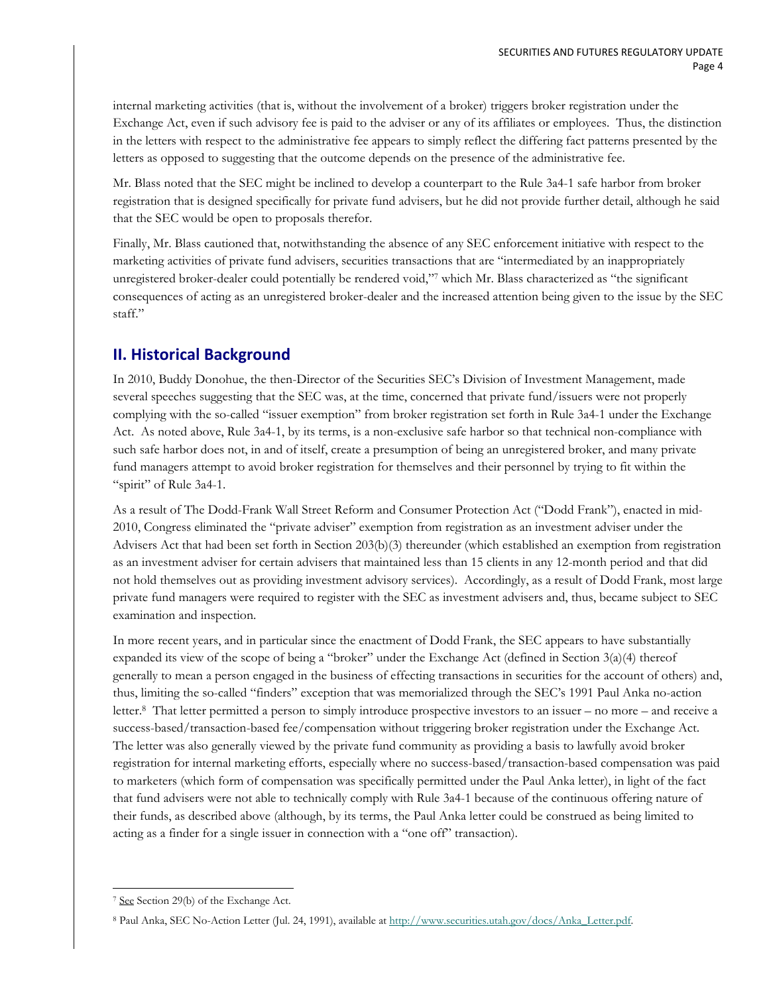internal marketing activities (that is, without the involvement of a broker) triggers broker registration under the Exchange Act, even if such advisory fee is paid to the adviser or any of its affiliates or employees. Thus, the distinction in the letters with respect to the administrative fee appears to simply reflect the differing fact patterns presented by the letters as opposed to suggesting that the outcome depends on the presence of the administrative fee.

Mr. Blass noted that the SEC might be inclined to develop a counterpart to the Rule 3a4-1 safe harbor from broker registration that is designed specifically for private fund advisers, but he did not provide further detail, although he said that the SEC would be open to proposals therefor.

Finally, Mr. Blass cautioned that, notwithstanding the absence of any SEC enforcement initiative with respect to the marketing activities of private fund advisers, securities transactions that are "intermediated by an inappropriately unregistered broker-dealer could potentially be rendered void,"7 which Mr. Blass characterized as "the significant consequences of acting as an unregistered broker-dealer and the increased attention being given to the issue by the SEC staff."

## **II. Historical Background**

In 2010, Buddy Donohue, the then-Director of the Securities SEC's Division of Investment Management, made several speeches suggesting that the SEC was, at the time, concerned that private fund/issuers were not properly complying with the so-called "issuer exemption" from broker registration set forth in Rule 3a4-1 under the Exchange Act. As noted above, Rule 3a4-1, by its terms, is a non-exclusive safe harbor so that technical non-compliance with such safe harbor does not, in and of itself, create a presumption of being an unregistered broker, and many private fund managers attempt to avoid broker registration for themselves and their personnel by trying to fit within the "spirit" of Rule 3a4-1.

As a result of The Dodd-Frank Wall Street Reform and Consumer Protection Act ("Dodd Frank"), enacted in mid-2010, Congress eliminated the "private adviser" exemption from registration as an investment adviser under the Advisers Act that had been set forth in Section 203(b)(3) thereunder (which established an exemption from registration as an investment adviser for certain advisers that maintained less than 15 clients in any 12-month period and that did not hold themselves out as providing investment advisory services). Accordingly, as a result of Dodd Frank, most large private fund managers were required to register with the SEC as investment advisers and, thus, became subject to SEC examination and inspection.

In more recent years, and in particular since the enactment of Dodd Frank, the SEC appears to have substantially expanded its view of the scope of being a "broker" under the Exchange Act (defined in Section 3(a)(4) thereof generally to mean a person engaged in the business of effecting transactions in securities for the account of others) and, thus, limiting the so-called "finders" exception that was memorialized through the SEC's 1991 Paul Anka no-action letter.8 That letter permitted a person to simply introduce prospective investors to an issuer – no more – and receive a success-based/transaction-based fee/compensation without triggering broker registration under the Exchange Act. The letter was also generally viewed by the private fund community as providing a basis to lawfully avoid broker registration for internal marketing efforts, especially where no success-based/transaction-based compensation was paid to marketers (which form of compensation was specifically permitted under the Paul Anka letter), in light of the fact that fund advisers were not able to technically comply with Rule 3a4-1 because of the continuous offering nature of their funds, as described above (although, by its terms, the Paul Anka letter could be construed as being limited to acting as a finder for a single issuer in connection with a "one off" transaction).

 $\overline{a}$ 7 See Section 29(b) of the Exchange Act.

<sup>8</sup> Paul Anka, SEC No-Action Letter (Jul. 24, 1991), available at http://www.securities.utah.gov/docs/Anka\_Letter.pdf.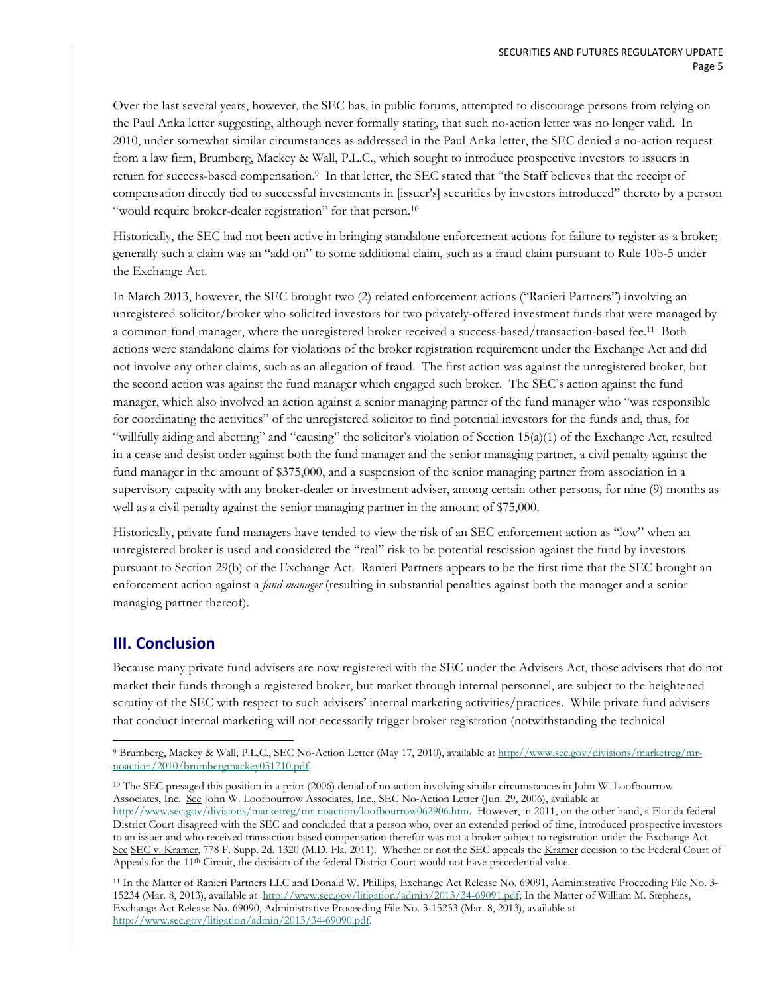Over the last several years, however, the SEC has, in public forums, attempted to discourage persons from relying on the Paul Anka letter suggesting, although never formally stating, that such no-action letter was no longer valid. In 2010, under somewhat similar circumstances as addressed in the Paul Anka letter, the SEC denied a no-action request from a law firm, Brumberg, Mackey & Wall, P.L.C., which sought to introduce prospective investors to issuers in return for success-based compensation.<sup>9</sup> In that letter, the SEC stated that "the Staff believes that the receipt of compensation directly tied to successful investments in [issuer's] securities by investors introduced" thereto by a person "would require broker-dealer registration" for that person.<sup>10</sup>

Historically, the SEC had not been active in bringing standalone enforcement actions for failure to register as a broker; generally such a claim was an "add on" to some additional claim, such as a fraud claim pursuant to Rule 10b-5 under the Exchange Act.

In March 2013, however, the SEC brought two (2) related enforcement actions ("Ranieri Partners") involving an unregistered solicitor/broker who solicited investors for two privately-offered investment funds that were managed by a common fund manager, where the unregistered broker received a success-based/transaction-based fee.11 Both actions were standalone claims for violations of the broker registration requirement under the Exchange Act and did not involve any other claims, such as an allegation of fraud. The first action was against the unregistered broker, but the second action was against the fund manager which engaged such broker. The SEC's action against the fund manager, which also involved an action against a senior managing partner of the fund manager who "was responsible for coordinating the activities" of the unregistered solicitor to find potential investors for the funds and, thus, for "willfully aiding and abetting" and "causing" the solicitor's violation of Section 15(a)(1) of the Exchange Act, resulted in a cease and desist order against both the fund manager and the senior managing partner, a civil penalty against the fund manager in the amount of \$375,000, and a suspension of the senior managing partner from association in a supervisory capacity with any broker-dealer or investment adviser, among certain other persons, for nine (9) months as well as a civil penalty against the senior managing partner in the amount of \$75,000.

Historically, private fund managers have tended to view the risk of an SEC enforcement action as "low" when an unregistered broker is used and considered the "real" risk to be potential rescission against the fund by investors pursuant to Section 29(b) of the Exchange Act. Ranieri Partners appears to be the first time that the SEC brought an enforcement action against a *fund manager* (resulting in substantial penalties against both the manager and a senior managing partner thereof).

#### **III. Conclusion**

Because many private fund advisers are now registered with the SEC under the Advisers Act, those advisers that do not market their funds through a registered broker, but market through internal personnel, are subject to the heightened scrutiny of the SEC with respect to such advisers' internal marketing activities/practices. While private fund advisers that conduct internal marketing will not necessarily trigger broker registration (notwithstanding the technical

<sup>10</sup> The SEC presaged this position in a prior (2006) denial of no-action involving similar circumstances in John W. Loofbourrow Associates, Inc. See John W. Loofbourrow Associates, Inc., SEC No-Action Letter (Jun. 29, 2006), available at

 $\overline{a}$ 9 Brumberg, Mackey & Wall, P.L.C., SEC No-Action Letter (May 17, 2010), available at http://www.sec.gov/divisions/marketreg/mrnoaction/2010/brumbergmackey051710.pdf.

http://www.sec.gov/divisions/marketreg/mr-noaction/loofbourrow062906.htm. However, in 2011, on the other hand, a Florida federal District Court disagreed with the SEC and concluded that a person who, over an extended period of time, introduced prospective investors to an issuer and who received transaction-based compensation therefor was not a broker subject to registration under the Exchange Act. See SEC v. Kramer, 778 F. Supp. 2d. 1320 (M.D. Fla. 2011). Whether or not the SEC appeals the Kramer decision to the Federal Court of Appeals for the 11<sup>th</sup> Circuit, the decision of the federal District Court would not have precedential value.

<sup>11</sup> In the Matter of Ranieri Partners LLC and Donald W. Phillips, Exchange Act Release No. 69091, Administrative Proceeding File No. 3- 15234 (Mar. 8, 2013), available at http://www.sec.gov/litigation/admin/2013/34-69091.pdf; In the Matter of William M. Stephens, Exchange Act Release No. 69090, Administrative Proceeding File No. 3-15233 (Mar. 8, 2013), available at http://www.sec.gov/litigation/admin/2013/34-69090.pdf.